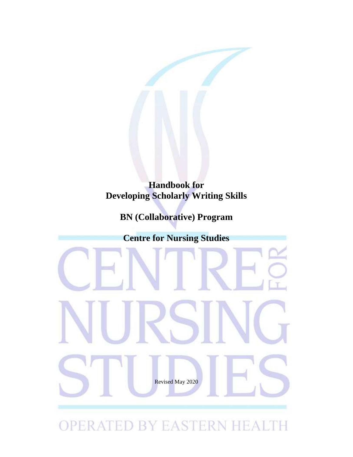

# **BN (Collaborative) Program**

**Centre for Nursing Studies**

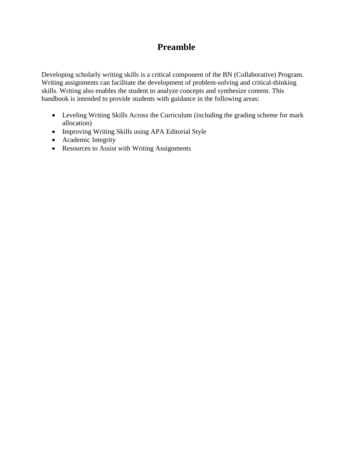# **Preamble**

Developing scholarly writing skills is a critical component of the BN (Collaborative) Program. Writing assignments can facilitate the development of problem-solving and critical-thinking skills. Writing also enables the student to analyze concepts and synthesize content. This handbook is intended to provide students with guidance in the following areas:

- Leveling Writing Skills Across the Curriculum (including the grading scheme for mark allocation)
- Improving Writing Skills using APA Editorial Style
- Academic Integrity
- Resources to Assist with Writing Assignments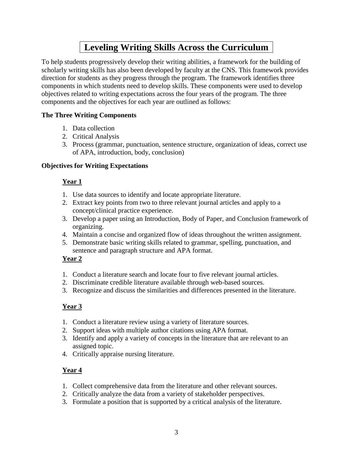# **Leveling Writing Skills Across the Curriculum**

To help students progressively develop their writing abilities, a framework for the building of scholarly writing skills has also been developed by faculty at the CNS. This framework provides direction for students as they progress through the program. The framework identifies three components in which students need to develop skills. These components were used to develop objectives related to writing expectations across the four years of the program. The three components and the objectives for each year are outlined as follows:

### **The Three Writing Components**

- 1. Data collection
- 2. Critical Analysis
- 3. Process (grammar, punctuation, sentence structure, organization of ideas, correct use of APA, introduction, body, conclusion)

### **Objectives for Writing Expectations**

## **Year 1**

- 1. Use data sources to identify and locate appropriate literature.
- 2. Extract key points from two to three relevant journal articles and apply to a concept/clinical practice experience.
- 3. Develop a paper using an Introduction, Body of Paper, and Conclusion framework of organizing.
- 4. Maintain a concise and organized flow of ideas throughout the written assignment.
- 5. Demonstrate basic writing skills related to grammar, spelling, punctuation, and sentence and paragraph structure and APA format.

## **Year 2**

- 1. Conduct a literature search and locate four to five relevant journal articles.
- 2. Discriminate credible literature available through web-based sources.
- 3. Recognize and discuss the similarities and differences presented in the literature.

## **Year 3**

- 1. Conduct a literature review using a variety of literature sources.
- 2. Support ideas with multiple author citations using APA format.
- 3. Identify and apply a variety of concepts in the literature that are relevant to an assigned topic.
- 4. Critically appraise nursing literature.

## **Year 4**

- 1. Collect comprehensive data from the literature and other relevant sources.
- 2. Critically analyze the data from a variety of stakeholder perspectives.
- 3. Formulate a position that is supported by a critical analysis of the literature.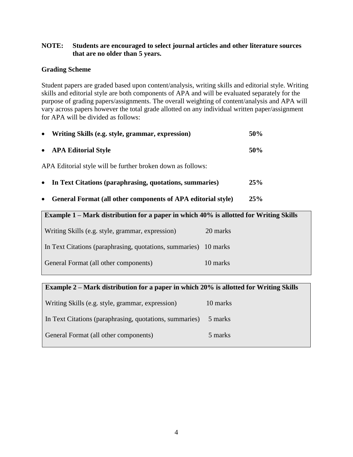### **NOTE: Students are encouraged to select journal articles and other literature sources that are no older than 5 years.**

### **Grading Scheme**

Student papers are graded based upon content/analysis, writing skills and editorial style. Writing skills and editorial style are both components of APA and will be evaluated separately for the purpose of grading papers/assignments. The overall weighting of content/analysis and APA will vary across papers however the total grade allotted on any individual written paper/assignment for APA will be divided as follows:

| • Writing Skills (e.g. style, grammar, expression)          | 50% |
|-------------------------------------------------------------|-----|
| • APA Editorial Style                                       | 50% |
| APA Editorial style will be further broken down as follows: |     |

- **In Text Citations (paraphrasing, quotations, summaries) 25%**
- **General Format (all other components of APA editorial style) 25%**

| Example 1 – Mark distribution for a paper in which 40% is allotted for Writing Skills |          |  |
|---------------------------------------------------------------------------------------|----------|--|
| Writing Skills (e.g. style, grammar, expression)                                      | 20 marks |  |
| In Text Citations (paraphrasing, quotations, summaries) 10 marks                      |          |  |
| General Format (all other components)                                                 | 10 marks |  |
|                                                                                       |          |  |

### **Example 2 – Mark distribution for a paper in which 20% is allotted for Writing Skills**

| Writing Skills (e.g. style, grammar, expression)        | 10 marks |
|---------------------------------------------------------|----------|
| In Text Citations (paraphrasing, quotations, summaries) | 5 marks  |
| General Format (all other components)                   | 5 marks  |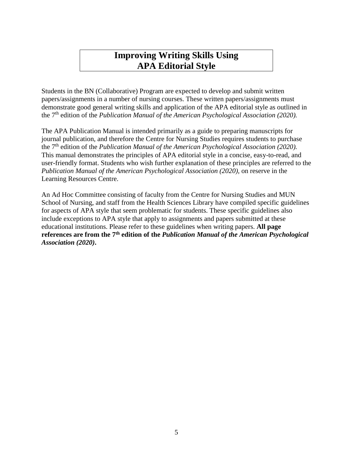# **Improving Writing Skills Using APA Editorial Style**

Students in the BN (Collaborative) Program are expected to develop and submit written papers/assignments in a number of nursing courses. These written papers/assignments must demonstrate good general writing skills and application of the APA editorial style as outlined in the 7 th edition of the *Publication Manual of the American Psychological Association (2020).*

The APA Publication Manual is intended primarily as a guide to preparing manuscripts for journal publication, and therefore the Centre for Nursing Studies requires students to purchase the 7 th edition of the *Publication Manual of the American Psychological Association (2020).* This manual demonstrates the principles of APA editorial style in a concise, easy-to-read, and user-friendly format. Students who wish further explanation of these principles are referred to the *Publication Manual of the American Psychological Association (2020),* on reserve in the Learning Resources Centre.

An Ad Hoc Committee consisting of faculty from the Centre for Nursing Studies and MUN School of Nursing, and staff from the Health Sciences Library have compiled specific guidelines for aspects of APA style that seem problematic for students. These specific guidelines also include exceptions to APA style that apply to assignments and papers submitted at these educational institutions. Please refer to these guidelines when writing papers. **All page**  references are from the 7<sup>th</sup> edition of the *Publication Manual of the American Psychological Association (2020)***.**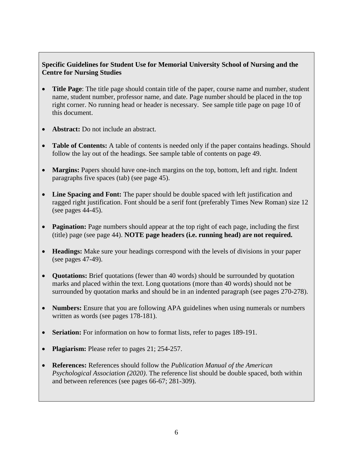### **Specific Guidelines for Student Use for Memorial University School of Nursing and the Centre for Nursing Studies**

- **Title Page**: The title page should contain title of the paper, course name and number, student name, student number, professor name, and date. Page number should be placed in the top right corner. No running head or header is necessary. See sample title page on page 10 of this document.
- **Abstract:** Do not include an abstract.
- **Table of Contents:** A table of contents is needed only if the paper contains headings. Should follow the lay out of the headings. See sample table of contents on page 49.
- **Margins:** Papers should have one-inch margins on the top, bottom, left and right. Indent paragraphs five spaces (tab) (see page 45).
- **Line Spacing and Font:** The paper should be double spaced with left justification and ragged right justification. Font should be a serif font (preferably Times New Roman) size 12 (see pages 44-45).
- **Pagination:** Page numbers should appear at the top right of each page, including the first (title) page (see page 44). **NOTE page headers (i.e. running head) are not required.**
- **Headings:** Make sure your headings correspond with the levels of divisions in your paper (see pages 47-49).
- **Quotations:** Brief quotations (fewer than 40 words) should be surrounded by quotation marks and placed within the text. Long quotations (more than 40 words) should not be surrounded by quotation marks and should be in an indented paragraph (see pages 270-278).
- **Numbers:** Ensure that you are following APA guidelines when using numerals or numbers written as words (see pages 178-181).
- **Seriation:** For information on how to format lists, refer to pages 189-191.
- **Plagiarism:** Please refer to pages 21; 254-257.
- **References:** References should follow the *Publication Manual of the American Psychological Association (2020)*. The reference list should be double spaced, both within and between references (see pages 66-67; 281-309).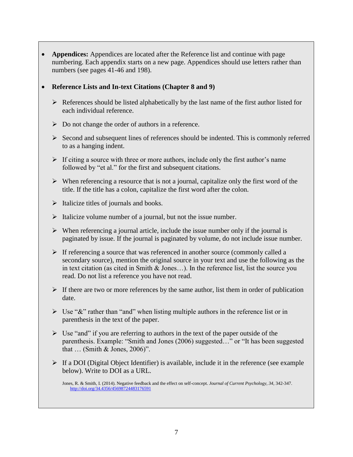**Appendices:** Appendices are located after the Reference list and continue with page numbering. Each appendix starts on a new page. Appendices should use letters rather than numbers (see pages 41-46 and 198).

#### **Reference Lists and In-text Citations (Chapter 8 and 9)**

- $\triangleright$  References should be listed alphabetically by the last name of the first author listed for each individual reference.
- $\triangleright$  Do not change the order of authors in a reference.
- $\triangleright$  Second and subsequent lines of references should be indented. This is commonly referred to as a hanging indent.
- $\triangleright$  If citing a source with three or more authors, include only the first author's name followed by "et al." for the first and subsequent citations.
- $\triangleright$  When referencing a resource that is not a journal, capitalize only the first word of the title. If the title has a colon, capitalize the first word after the colon.
- $\triangleright$  Italicize titles of journals and books.
- $\triangleright$  Italicize volume number of a journal, but not the issue number.
- $\triangleright$  When referencing a journal article, include the issue number only if the journal is paginated by issue. If the journal is paginated by volume, do not include issue number.
- $\triangleright$  If referencing a source that was referenced in another source (commonly called a secondary source), mention the original source in your text and use the following as the in text citation (as cited in Smith & Jones…). In the reference list, list the source you read. Do not list a reference you have not read.
- $\triangleright$  If there are two or more references by the same author, list them in order of publication date.
- $\triangleright$  Use "&" rather than "and" when listing multiple authors in the reference list or in parenthesis in the text of the paper.
- $\triangleright$  Use "and" if you are referring to authors in the text of the paper outside of the parenthesis. Example: "Smith and Jones (2006) suggested…" or "It has been suggested that … (Smith & Jones, 2006)".
- $\triangleright$  If a DOI (Digital Object Identifier) is available, include it in the reference (see example below). Write to DOI as a URL.

Jones, R. & Smith, I. (2014). Negative feedback and the effect on self-concept. *Journal of Current Psychology, 34,* 342-347. <http://doi.org/34.4356/45698724483176591>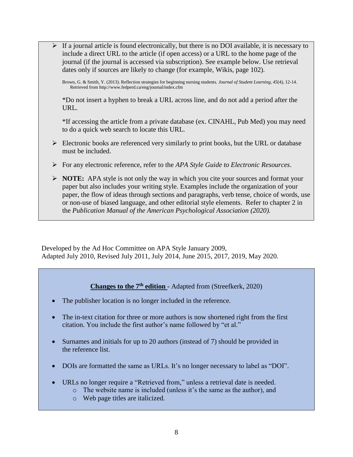$\triangleright$  If a journal article is found electronically, but there is no DOI available, it is necessary to include a direct URL to the article (if open access) or a URL to the home page of the journal (if the journal is accessed via subscription). See example below. Use retrieval dates only if sources are likely to change (for example, Wikis, page 102).

Brown, G. & Smith, Y. (2013). Reflection strategies for beginning nursing students. *Journal of Student Learning, 45*(4), 12-14. Retrieved from http://www.fedperd.ca/eng/journal/index.cfm

\*Do not insert a hyphen to break a URL across line, and do not add a period after the URL.

\*If accessing the article from a private database (ex. CINAHL, Pub Med) you may need to do a quick web search to locate this URL.

- $\triangleright$  Electronic books are referenced very similarly to print books, but the URL or database must be included.
- For any electronic reference, refer to the *APA Style Guide to Electronic Resources*.
- **NOTE:** APA style is not only the way in which you cite your sources and format your paper but also includes your writing style. Examples include the organization of your paper, the flow of ideas through sections and paragraphs, verb tense, choice of words, use or non-use of biased language, and other editorial style elements. Refer to chapter 2 in the *Publication Manual of the American Psychological Association (2020).*

Developed by the Ad Hoc Committee on APA Style January 2009, Adapted July 2010, Revised July 2011, July 2014, June 2015, 2017, 2019, May 2020.

## **Changes to the 7th edition** - Adapted from (Streefkerk, 2020)

- The publisher location is no longer included in the reference.
- The in-text citation for three or more authors is now shortened right from the first citation. You include the first author's name followed by "et al."
- Surnames and initials for up to 20 authors (instead of 7) should be provided in the reference list.
- DOIs are formatted the same as URLs. It's no longer necessary to label as "DOI".
- URLs no longer require a "Retrieved from," unless a retrieval date is needed.
	- o The website name is included (unless it's the same as the author), and
	- o Web page titles are italicized.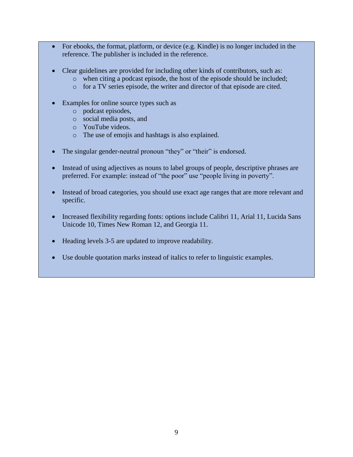- For ebooks, the format, platform, or device (e.g. Kindle) is no longer included in the reference. The publisher is included in the reference.
- Clear guidelines are provided for including other kinds of contributors, such as:
	- o when citing a podcast episode, the host of the episode should be included;
	- o for a TV series episode, the writer and director of that episode are cited.
- Examples for online source types such as
	- o podcast episodes,
	- o social media posts, and
	- o YouTube videos.
	- o The use of emojis and hashtags is also explained.
- The singular gender-neutral pronoun "they" or "their" is endorsed.
- Instead of using adjectives as nouns to label groups of people, descriptive phrases are preferred. For example: instead of "the poor" use "people living in poverty".
- Instead of broad categories, you should use exact age ranges that are more relevant and specific.
- Increased flexibility regarding fonts: options include Calibri 11, Arial 11, Lucida Sans Unicode 10, Times New Roman 12, and Georgia 11.
- Heading levels 3-5 are updated to improve readability.
- Use double quotation marks instead of italics to refer to linguistic examples.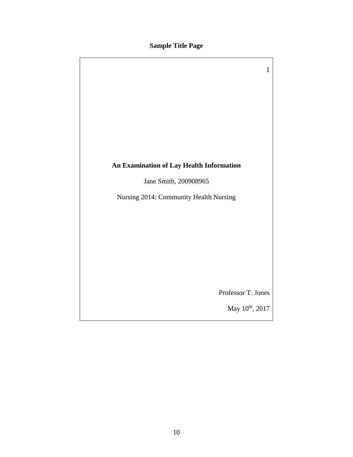## **Sample Title Page**

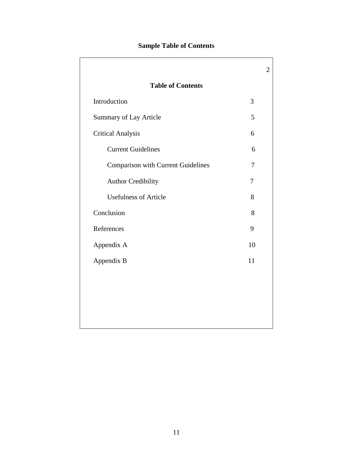## **Sample Table of Contents**

| <b>Table of Contents</b>                  |                |
|-------------------------------------------|----------------|
| Introduction                              | 3              |
| Summary of Lay Article                    | 5              |
| <b>Critical Analysis</b>                  | 6              |
| <b>Current Guidelines</b>                 | 6              |
| <b>Comparison with Current Guidelines</b> | 7              |
| <b>Author Credibility</b>                 | $\overline{7}$ |
| <b>Usefulness of Article</b>              | 8              |
| Conclusion                                | 8              |
| References                                | 9              |
| Appendix A                                | 10             |
| Appendix B                                | 11             |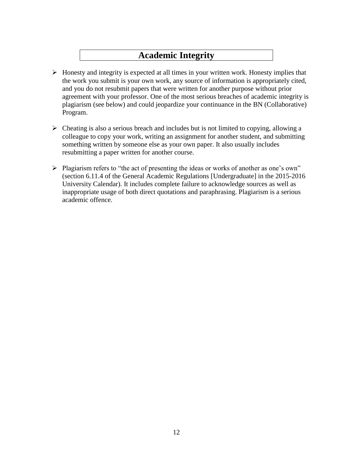# **Academic Integrity**

- $\triangleright$  Honesty and integrity is expected at all times in your written work. Honesty implies that the work you submit is your own work, any source of information is appropriately cited, and you do not resubmit papers that were written for another purpose without prior agreement with your professor. One of the most serious breaches of academic integrity is plagiarism (see below) and could jeopardize your continuance in the BN (Collaborative) Program.
- $\triangleright$  Cheating is also a serious breach and includes but is not limited to copying, allowing a colleague to copy your work, writing an assignment for another student, and submitting something written by someone else as your own paper. It also usually includes resubmitting a paper written for another course.
- $\triangleright$  Plagiarism refers to "the act of presenting the ideas or works of another as one's own" (section 6.11.4 of the General Academic Regulations [Undergraduate] in the 2015-2016 University Calendar). It includes complete failure to acknowledge sources as well as inappropriate usage of both direct quotations and paraphrasing. Plagiarism is a serious academic offence.